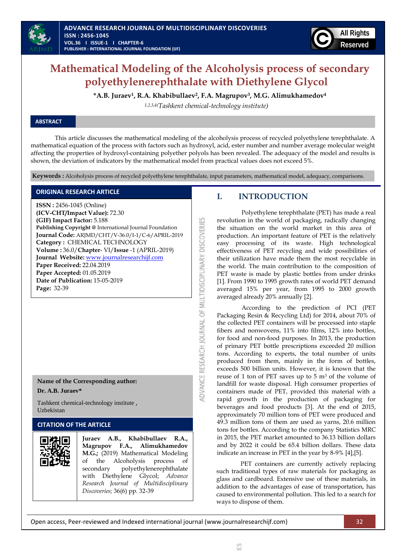

# **Mathematical Modeling of the Alcoholysis process of secondary polyethylenerephthalate with Diethylene Glycol**

**\*A.B. Juraev<sup>1</sup> , R.A. Khabibullaev<sup>2</sup> , F.A. Magrupov<sup>3</sup> , M.G. Alimukhamedov<sup>4</sup>**

*1,2,3,4(Tashkent chemical-technology institute)*

## **ABSTRACT**

This article discusses the mathematical modeling of the alcoholysis process of recycled polyethylene terephthalate. A mathematical equation of the process with factors such as hydroxyl, acid, ester number and number average molecular weight affecting the properties of hydroxyl-containing polyether polyols has been revealed. The adequacy of the model and results is shown, the deviation of indicators by the mathematical model from practical values does not exceed 5%.

**Keywords :** Alcoholysis process of recycled polyethylene terephthalate, input parameters, mathematical model, adequacy, comparisons.

ADVANCE RESEARCH JOURNAL OF MULTIDISCIPLINARY DISCOVERIES

## **ORIGINAL RESEARCH ARTICLE**

**ISSN :** 2456-1045 (Online) **(ICV-CHT/Impact Value):** 72.30 **(GIF) Impact Factor:** 5.188 **Publishing Copyright @** International Journal Foundation **Journal Code:** ARJMD/CHT/V-36.0/I-1/C-6/APRIL-2019 **Category :** CHEMICAL TECHNOLOGY **Volume :** 36.0/**Chapter**- VI/**Issue** -1 (APRIL-2019) **Journal Website:** [www.journalresearchijf.com](http://www.journalresearchijf.com/) **Paper Received:** 22.04.2019 **Paper Accepted:** 01.05.2019 **Date of Publication:** 15-05-2019 **Page:** 32-39

### **Name of the Corresponding author:**

#### **Dr. A.B. Juraev\***

Tashkent chemical-technology institute , Uzbekistan

## **CITATION OF THE ARTICLE**



**Juraev A.B., Khabibullaev R.A., Magrupov F.A., Alimukhamedov M.G.;** (2019) Mathematical Modeling of the Alcoholysis process of secondary polyethylenerephthalate with Diethylene Glycol; *Advance Research Journal of Multidisciplinary Discoveries;* 36(6) pp. 32-39

## **I. INTRODUCTION**

Polyethylene terephthalate (PET) has made a real revolution in the world of packaging, radically changing the situation on the world market in this area of production. An important feature of PET is the relatively easy processing of its waste. High technological effectiveness of PET recycling and wide possibilities of their utilization have made them the most recyclable in the world. The main contribution to the composition of PET waste is made by plastic bottles from under drinks [\[1\].](#page-7-0) From 1990 to 1995 growth rates of world PET demand averaged 15% per year, from 1995 to 2000 growth averaged already 20% annuall[y \[2\].](#page-7-1)

According to the prediction of PCI (PET Packaging Resin & Recycling Ltd) for 2014, about 70% of the collected PET containers will be processed into staple fibers and nonwovens, 11% into films, 12% into bottles, for food and non-food purposes. In 2013, the production of primary PET bottle prescriptions exceeded 20 million tons. According to experts, the total number of units produced from them, mainly in the form of bottles, exceeds 500 billion units. However, it is known that the reuse of 1 ton of PET saves up to 5 m<sup>3</sup> of the volume of landfill for waste disposal. High consumer properties of containers made of PET, provided this material with a rapid growth in the production of packaging for beverages and food products [\[3\].](#page-7-2) At the end of 2015, approximately 70 million tons of PET were produced and 49.3 million tons of them are used as yarns, 20.6 million tons for bottles. According to the company Statistics MRC in 2015, the PET market amounted to 36.13 billion dollars and by 2022 it could be 65.4 billion dollars. These data indicate an increase in PET in the year by 8-9% [\[4\]](#page-7-3)[,\[5\].](#page-7-4)

PET containers are currently actively replacing such traditional types of raw materials for packaging as glass and cardboard. Extensive use of these materials, in addition to the advantages of ease of transportation, has caused to environmental pollution. This led to a search for ways to dispose of them.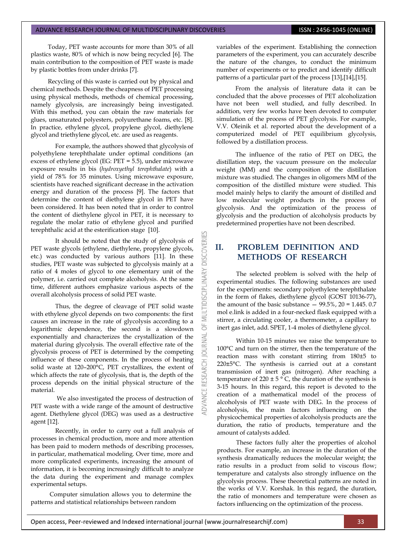Today, PET waste accounts for more than 30% of all plastics waste, 80% of which is now being recycled [\[6\].](#page-7-5) The main contribution to the composition of PET waste is made by plastic bottles from under drinks [\[7\].](#page-7-6)

Recycling of this waste is carried out by physical and chemical methods. Despite the cheapness of PET processing using physical methods, methods of chemical processing, namely glycolysis, are increasingly being investigated. With this method, you can obtain the raw materials for glues, unsaturated polyesters, polyurethane foams, etc. [\[8\].](#page-7-7)  In practice, ethylene glycol, propylene glycol, diethylene glycol and triethylene glycol, etc. are used as reagents.

For example, the authors showed that glycolysis of polyethylene terephthalate under optimal conditions (an excess of ethylene glycol (EG: PET = 5.5), under microwave exposure results in bis (*hydroxyethyl terephthalate*) with a yield of 78% for 35 minutes. Using microwave exposure, scientists have reached significant decrease in the activation energy and duration of the process [\[9\].](#page-7-8) The factors that determine the content of diethylene glycol in PET have been considered. It has been noted that in order to control the content of diethylene glycol in PET, it is necessary to regulate the molar ratio of ethylene glycol and purified terephthalic acid at the esterification stage [\[10\].](#page-7-9)

It should be noted that the study of glycolysis of PET waste glycols (ethylene, diethylene, propylene glycols, etc.) was conducted by various authors [\[11\].](#page-7-10) In these studies, PET waste was subjected to glycolysis mainly at a ratio of 4 moles of glycol to one elementary unit of the polymer, i.e. carried out complete alcoholysis. At the same time, different authors emphasize various aspects of the overall alcoholysis process of solid PET waste.

Thus, the degree of cleavage of PET solid waste with ethylene glycol depends on two components: the first causes an increase in the rate of glycolysis according to a logarithmic dependence, the second is a slowdown exponentially and characterizes the crystallization of the material during glycolysis. The overall effective rate of the glycolysis process of PET is determined by the competing influence of these components. In the process of heating solid waste at 120–200°C, PET crystallizes, the extent of which affects the rate of glycolysis, that is, the depth of the process depends on the initial physical structure of the material.

We also investigated the process of destruction of PET waste with a wide range of the amount of destructive agent. Diethylene glycol (DEG) was used as a destructive agent [\[12\].](#page-7-11)

Recently, in order to carry out a full analysis of processes in chemical production, more and more attention has been paid to modern methods of describing processes, in particular, mathematical modeling. Over time, more and more complicated experiments, increasing the amount of information, it is becoming increasingly difficult to analyze the data during the experiment and manage complex experimental setups.

Computer simulation allows you to determine the patterns and statistical relationships between random

variables of the experiment. Establishing the connection parameters of the experiment, you can accurately describe the nature of the changes, to conduct the minimum number of experiments or to predict and identify difficult patterns of a particular part of the process [\[13\]](#page-7-12)[,\[14\],](#page-7-13)[\[15\].](#page-7-14)

From the analysis of literature data it can be concluded that the above processes of PET alcoholization have not been well studied, and fully described. In addition, very few works have been devoted to computer simulation of the process of PET glycolysis. For example, V.V. Oleinik et al. reported about the development of a computerized model of PET equilibrium glycolysis, followed by a distillation process.

The influence of the ratio of PET on DEG, the distillation step, the vacuum pressure on the molecular weight (MM) and the composition of the distillation mixture was studied. The changes in oligomers MM of the composition of the distilled mixture were studied. This model mainly helps to clarify the amount of distilled and low molecular weight products in the process of glycolysis. And the optimization of the process of glycolysis and the production of alcoholysis products by predetermined properties have not been described.

## **II. PROBLEM DEFINITION AND METHODS OF RESEARCH**

**DISCOVERI** 

5 **JRNAL**  $\overline{c}$ 

RESEARCH

The selected problem is solved with the help of experimental studies. The following substances are used for the experiments: secondary polyethylene terephthalate in the form of flakes, diethylene glycol (GOST 10136-77), the amount of the basic substance  $-99.5\%$ ,  $20 = 1.445$ . 0.7 mol e.link is added in a four-necked flask equipped with a stirrer, a circulating cooler, a thermometer, a capillary to inert gas inlet, add. SPET, 1-4 moles of diethylene glycol.

Within 10-15 minutes we raise the temperature to 100°C and turn on the stirrer, then the temperature of the reaction mass with constant stirring from 180±5 to 220±5°C. The synthesis is carried out at a constant transmission of inert gas (nitrogen). After reaching a temperature of  $220 \pm 5$  ° C, the duration of the synthesis is 3-15 hours. In this regard, this report is devoted to the creation of a mathematical model of the process of alcoholysis of PET waste with DEG. In the process of alcoholysis, the main factors influencing on the physicochemical properties of alcoholysis products are the duration, the ratio of products, temperature and the amount of catalysts added.

These factors fully alter the properties of alcohol products. For example, an increase in the duration of the synthesis dramatically reduces the molecular weight; the ratio results in a product from solid to viscous flow; temperature and catalysts also strongly influence on the glycolysis process. These theoretical patterns are noted in the works of V.V. Korshak. In this regard, the duration, the ratio of monomers and temperature were chosen as factors influencing on the optimization of the process.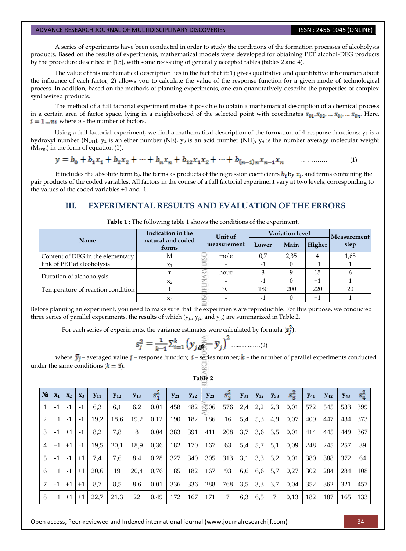A series of experiments have been conducted in order to study the conditions of the formation processes of alcoholysis products. Based on the results of experiments, mathematical models were developed for obtaining PET alcohol-DEG products by the procedure described in [\[15\],](#page-7-14) with some re-issuing of generally accepted tables (tables 2 and 4).

The value of this mathematical description lies in the fact that it: 1) gives qualitative and quantitative information about the influence of each factor; 2) allows you to calculate the value of the response function for a given mode of technological process. In addition, based on the methods of planning experiments, one can quantitatively describe the properties of complex synthesized products.

The method of a full factorial experiment makes it possible to obtain a mathematical description of a chemical process in a certain area of factor space, lying in a neighborhood of the selected point with coordinates  $x_{01}, x_{02}, \ldots, x_{0i}$ ,  $x_{0n}$ . Here,  $i = 1...n$ : where *n* - the number of factors.

Using a full factorial experiment, we find a mathematical description of the formation of 4 response functions:  $y_1$  is a hydroxyl number (N<sub>OH</sub>), y<sub>2</sub> is an ether number (NE), y<sub>3</sub> is an acid number (NH), y<sub>4</sub> is the number average molecular weight  $(M<sub>avg</sub>)$  in the form of equation (1).

$$
y = b_0 + b_1 x_1 + b_2 x_2 + \dots + b_n x_n + b_{12} x_1 x_2 + \dots + b_{(n-1)n} x_{n-1} x_n \qquad \dots \qquad (1)
$$

It includes the absolute term  $b_0$ , the terms as products of the regression coefficients  $\mathbf{b}_i$ , by  $\mathbf{x}_i$ , and terms containing the pair products of the coded variables. All factors in the course of a full factorial experiment vary at two levels, corresponding to the values of the coded variables +1 and -1.

## **III. EXPERIMENTAL RESULTS AND EVALUATION OF THE ERRORS**

|                                   | Indication in the          | Unit of     | <b>Variation level</b>   | Measurement |         |      |
|-----------------------------------|----------------------------|-------------|--------------------------|-------------|---------|------|
| <b>Name</b>                       | natural and coded<br>forms | measurement | Lower                    | Main        | Higher  | step |
| Content of DEG in the elementary  | М                          | mole        | 0,7                      | 2,35        | 4       | 1,65 |
| link of PET at alcoholysis        | $X_1$                      |             | - 1                      |             | $^{+1}$ |      |
| Duration of alchoholysis          |                            | hour        |                          |             | 15      |      |
|                                   | X <sub>2</sub>             |             |                          |             | $+1$    |      |
| Temperature of reaction condition |                            | $0\text{C}$ | 180                      | 200         | 220     | 20   |
|                                   | $X_3$                      |             | $\overline{\phantom{0}}$ |             | $+1$    |      |

**Table 1 :** The following table 1 shows the conditions of the experiment.

Before planning an experiment, you need to make sure that the experiments are reproducible. For this purpose, we conducted three series of parallel experiments, the results of which  $(y_{i1}, y_{i2},$  and  $y_{i3})$  are summarized in Table 2.

For each series of experiments, the variance estimates were calculated by formula  $(s_i^2)$ :

$$
s_j^2 = \frac{1}{k-1} \sum_{i=1}^k \left( y_j \frac{z_i}{\sum_{i=1}^k} \overline{y}_j \right)^2 \dots \dots \dots \dots (2)
$$

where:  $\bar{y}_j$  – averaged value  $j$  – response function;  $i$  – series number;  $k$  – the number of parallel experiments conducted under the same conditions  $(k = 3)$ .

|                |       |       |       |          |          |          |         |          |          | ∝        |         |          |          |          |         |            |                        |          |         |
|----------------|-------|-------|-------|----------|----------|----------|---------|----------|----------|----------|---------|----------|----------|----------|---------|------------|------------------------|----------|---------|
| $N_2$          | $X_1$ | $X_2$ | $X_3$ | $y_{11}$ | $y_{12}$ | $y_{13}$ | $s_1^2$ | $y_{21}$ | $y_{22}$ | $y_{23}$ | $s_2^2$ | $y_{31}$ | $y_{32}$ | $y_{33}$ | $s^2_3$ | <b>Y41</b> | <b>Y</b> <sub>42</sub> | $y_{43}$ | $s_4^2$ |
|                | $-1$  | $-1$  | -1    | 6,3      | 6,1      | 6,2      | 0,01    | 458      | 482      | -506     | 576     | 2,4      | 2,2      | 2,3      | 0,01    | 572        | 545                    | 533      | 399     |
| 2              | $+1$  | $-1$  | $-1$  | 19,2     | 18,6     | 19,2     | 0,12    | 190      | 182      | 186      | 16      | 5,4      | 5,3      | 4,9      | 0,07    | 409        | 447                    | 434      | 373     |
| 3              | $-1$  | $+1$  | $-1$  | 8,2      | 7,8      | 8        | 0,04    | 383      | 391      | 411      | 208     | 3,7      | 3,6      | 3,5      | 0,01    | 414        | 445                    | 449      | 367     |
| $\overline{4}$ | $+1$  | $+1$  | $-1$  | 19,5     | 20,1     | 18,9     | 0,36    | 182      | 170      | 167      | 63      | 5,4      | 5,7      | 5,1      | 0,09    | 248        | 245                    | 257      | 39      |
| 5              | $-1$  | $-1$  | $+1$  | 7,4      | 7,6      | 8,4      | 0,28    | 327      | 340      | 305      | 313     | 3,1      | 3,3      | 3,2      | 0,01    | 380        | 388                    | 372      | 64      |
| 6              | $+1$  | $-1$  | $+1$  | 20,6     | 19       | 20,4     | 0,76    | 185      | 182      | 167      | 93      | 6,6      | 6,6      | 5,7      | 0,27    | 302        | 284                    | 284      | 108     |
| 7              | $-1$  | $+1$  | $+1$  | 8,7      | 8,5      | 8,6      | 0,01    | 336      | 336      | 288      | 768     | 3,5      | 3,3      | 3,7      | 0,04    | 352        | 362                    | 321      | 457     |
| 8              | $+1$  | $+1$  | $+1$  | 22,7     | 21,3     | 22       | 0,49    | 172      | 167      | 171      | 7       | 6,3      | 6,5      | 7        | 0,13    | 182        | 187                    | 165      | 133     |

**Table 2**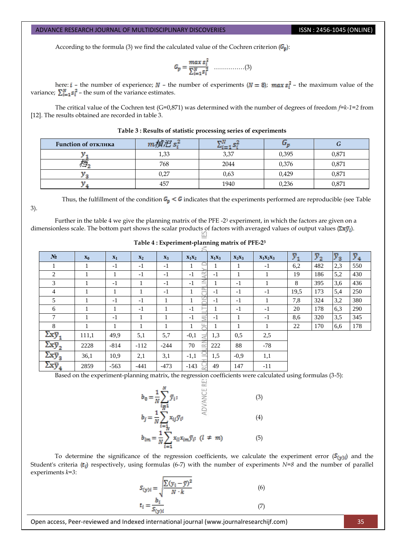3).

According to the formula (3) we find the calculated value of the Cochren criterion  $(G_p)$ :

……………(3)

here:  $i$  – the number of experience;  $N$  – the number of experiments ( $N = 8$ ); max  $s_i^2$  – the maximum value of the variance;  $\sum_{i=1}^{N} s_i^2$  – the sum of the variance estimates.

The critical value of the Cochren test (G=0,871) was determined with the number of degrees of freedom *f=k-1=2* from [12]. The results obtained are recorded in table 3.

| Function of отклика |      |      |       |       |  |
|---------------------|------|------|-------|-------|--|
|                     | 1,33 | 3,37 | 0,395 | 0,871 |  |
|                     | 768  | 2044 | 0,376 | 0,871 |  |
|                     | 0,27 | 0,63 | 0,429 | 0,871 |  |
|                     | 457  | 1940 | 0,236 | 0,871 |  |

#### **Table 3 : Results of statistic processing series of experiments**

Thus, the fulfillment of the condition  $G_p < G$  indicates that the experiments performed are reproducible (see Table

Further in the table 4 we give the planning matrix of the PFE -2<sup>3</sup> experiment, in which the factors are given on a dimensionless scale. The bottom part shows the scalar products of factors with averaged values of output values  $(\Sigma x \bar{y}_i)$ .

| N <sub>2</sub>                   | $\mathbf{x}_0$ | $X_1$  | $\mathbf{x}_2$ | $X_3$  | $X_1X_2$                                                    | $X_1X_3$ | $X_2X_3$ | $X_1X_2X_3$  | $\bar{y}_1$ | $\bar{y}_2$ | $\bar{y}_3$ | $\bar{y}_4$ |
|----------------------------------|----------------|--------|----------------|--------|-------------------------------------------------------------|----------|----------|--------------|-------------|-------------|-------------|-------------|
|                                  |                | $-1$   | $-1$           | $-1$   |                                                             |          |          | $-1$         | 6,2         | 482         | 2,3         | 550         |
| 2                                | 1              |        | $-1$           | $-1$   | $\simeq$<br>$-1$<br>$\overrightarrow{a}$                    | $-1$     |          |              | 19          | 186         | 5,2         | 430         |
| 3                                | 1              | $-1$   |                | $-1$   | ≒<br>$-1$                                                   |          | $-1$     |              | 8           | 395         | 3.6         | 436         |
| 4                                |                |        |                | $-1$   | <b>Holland</b>                                              | - 1      | $-1$     | $-1$         | 19.5        | 173         | 5,4         | 250         |
| 5                                | л.             | $-1$   | $-1$           | л.     | Σľ<br>$\mathbf{I}$                                          | $-1$     | $-1$     | $\mathbf{I}$ | 7,8         | 324         | 3,2         | 380         |
| 6                                |                |        | $-1$           |        | $-1$                                                        |          | $-1$     | $-1$         | 20          | 178         | 6.3         | 290         |
| 7                                | 1              | $-1$   |                |        | $-1$<br>$\equiv$                                            | $-1$     |          | $-1$         | 8,6         | 320         | 3,5         | 345         |
| 8                                | 1              |        |                |        | LL.<br>1                                                    | 1        |          | $\perp$      | 22          | 170         | 6,6         | 178         |
| $\Sigma x \bar{y}_1$             | 111,1          | 49,9   | 5,1            | 5,7    | $-0.1$<br>$\overline{\phantom{a}}$<br>$\tilde{\mathcal{A}}$ | 1,3      | 0.5      | 2,5          |             |             |             |             |
| $\Sigma$ x $\bar{\text{y}}_2$    | 2228           | $-814$ | $-112$         | $-244$ | $\cong$<br>70                                               | 222      | 88       | $-78$        |             |             |             |             |
| $\Sigma$ x $\bar{\text{y}}_{_3}$ | 36,1           | 10.9   | 2,1            | 3,1    | $\subseteq$<br>$-1,1$                                       | 1,5      | $-0.9$   | 1,1          |             |             |             |             |
| $\Sigma$ x $\bar{\text{y}}_4$    | 2859           | $-563$ | $-441$         | $-473$ | $-143$<br>$\sim$                                            | 49       | 147      | $-11$        |             |             |             |             |

**Table 4 : Experiment-planning matrix of PFE-2<sup>3</sup>**

Based on the experiment-planning matrix, the regression coefficients were calculated using formulas (3-5):

$$
b_0 = \frac{1}{N} \sum_{\substack{i=1 \ i \neq j}}^N \bar{y}_i;
$$
\n
$$
b_j = \frac{1}{N} \sum_{\substack{i=1 \ i \neq j}}^N x_{ij} \bar{y}_{ij}.
$$
\n
$$
(3)
$$
\n
$$
b_{lm} = \frac{1}{N} \sum_{i=1}^N x_{il} x_{im} \bar{y}_{ij}.
$$
\n
$$
(4)
$$
\n
$$
(5)
$$

To determine the significance of the regression coefficients, we calculate the experiment error ( $S(y)$ ) and the Student's criteria ( $t_i$ ) respectively, using formulas (6-7) with the number of experiments  $N=8$  and the number of parallel experiments *k=3*:

$$
S_{(y)i} = \sqrt{\frac{\sum (y_i - \bar{y})^2}{N \cdot k}}
$$
(6)  

$$
t_i = \frac{b_i}{S_{(y)i}}
$$
(7)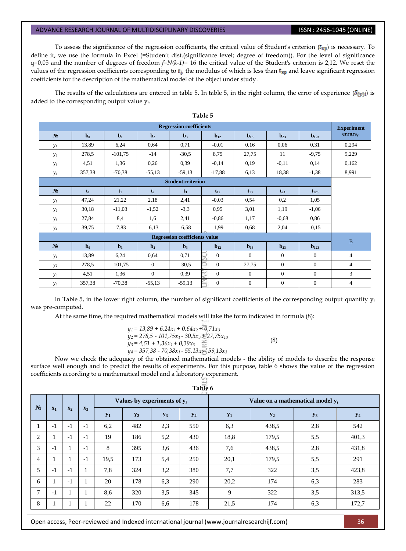To assess the significance of the regression coefficients, the critical value of Student's criterion  $(t_{\rm RD})$  is necessary. To define it, we use the formula in Excel (=Studen't dist.(significance level; degree of freedom)). For the level of significance q=0,05 and the number of degrees of freedom *f=N(k-1)*= 16 the critical value of the Student's criterion is 2,12. We reset the values of the regression coefficients corresponding to  $t_i$ , the modulus of which is less than  $t_{\text{wp}}$  and leave significant regression coefficients for the description of the mathematical model of the object under study.

The results of the calculations are entered in table 5. In table 5, in the right column, the error of experience ( $S(y)$ ) is added to the corresponding output value y*i*.

| <b>Regression coefficients</b> |                |           |                |                                      |              |                |                   |                |                                           |  |  |  |
|--------------------------------|----------------|-----------|----------------|--------------------------------------|--------------|----------------|-------------------|----------------|-------------------------------------------|--|--|--|
| N <sub>2</sub>                 | $b0$           | $b1$      | $\mathbf{b}_2$ | $\mathbf{b}_3$                       | $b_{12}$     | $b13$          | $\mathbf{b}_{23}$ | $b_{123}$      | <b>Experiment</b><br>errors <sub>vi</sub> |  |  |  |
| $y_1$                          | 13,89          | 6,24      | 0,64           | 0,71                                 | $-0.01$      | 0.16           | 0,06              | 0.31           | 0,294                                     |  |  |  |
| $y_2$                          | 278,5          | $-101,75$ | $-14$          | $-30,5$                              | 8,75         | 27,75          | 11                | $-9,75$        | 9,229                                     |  |  |  |
| $y_3$                          | 4,51           | 1,36      | 0,26           | 0,39                                 | $-0,14$      | 0.19           | $-0.11$           | 0,14           | 0,162                                     |  |  |  |
| $y_4$                          | 357,38         | $-70,38$  | $-55,13$       | $-59,13$                             | $-17,88$     | 6.13           | 18,38             | $-1,38$        | 8,991                                     |  |  |  |
| <b>Student criterion</b>       |                |           |                |                                      |              |                |                   |                |                                           |  |  |  |
| N <sub>2</sub>                 | t <sub>0</sub> | $t_1$     | t <sub>2</sub> | $t_3$                                | $t_{12}$     | $t_{13}$       | $t_{23}$          | $t_{123}$      |                                           |  |  |  |
| $y_1$                          | 47,24          | 21,22     | 2,18           | 2,41                                 | $-0.03$      | 0.54           | 0,2               | 1,05           |                                           |  |  |  |
| $y_2$                          | 30,18          | $-11,03$  | $-1,52$        | $-3,3$                               | 0,95         | 3,01           | 1,19              | $-1,06$        |                                           |  |  |  |
| $y_3$                          | 27,84          | 8,4       | 1,6            | 2,41                                 | $-0,86$      | 1,17           | $-0,68$           | 0,86           |                                           |  |  |  |
| y <sub>4</sub>                 | 39,75          | $-7,83$   | $-6,13$        | $-6,58$                              | $-1.99$      | 0.68           | 2,04              | $-0,15$        |                                           |  |  |  |
|                                |                |           |                | <b>Regression coefficients value</b> |              |                |                   |                | $\bf{B}$                                  |  |  |  |
| N <sub>2</sub>                 | $b0$           | $b1$      | $\mathbf{b}_2$ | $\mathbf{b}_3$                       | $b_{12}$     | $b_{13}$       | $b_{23}$          | $b_{123}$      |                                           |  |  |  |
| $y_1$                          | 13,89          | 6,24      | 0,64           | 0,71                                 | $\mathbf{0}$ | $\theta$       | $\Omega$          | $\overline{0}$ | $\overline{4}$                            |  |  |  |
| $y_2$                          | 278,5          | $-101,75$ | $\theta$       | $-30,5$                              | $\Omega$     | 27,75          | $\Omega$          | $\overline{0}$ | $\overline{4}$                            |  |  |  |
| $y_3$                          | 4,51           | 1,36      | $\overline{0}$ | 0,39                                 | $\mathbf{0}$ | $\overline{0}$ | $\mathbf{0}$      | $\overline{0}$ | 3                                         |  |  |  |
| y <sub>4</sub>                 | 357,38         | $-70,38$  | $-55,13$       | $-59,13$                             | $\mathbf{0}$ | $\overline{0}$ | $\mathbf{0}$      | $\overline{0}$ | $\overline{4}$                            |  |  |  |

In Table 5, in the lower right column, the number of significant coefficients of the corresponding output quantity y*<sup>i</sup>* was pre-computed.

At the same time, the required mathematical models will take the form indicated in formula (8):

$$
y_1 = 13,89 + 6,24x_1 + 0,64x_2 + 0,71x_3
$$
  
\n
$$
y_2 = 278,5 - 101,75x_1 - 30,5x_3 + 27,75x_{13}
$$
  
\n
$$
y_3 = 4,51 + 1,36x_1 + 0,39x_3
$$
  
\n
$$
y_4 = 357,38 - 70,38x_1 - 55,13x_2 - 59,13x_3
$$
\n(8)

Now we check the adequacy of the obtained mathematical models - the ability of models to describe the response surface well enough and to predict the results of experiments. For this purpose, table 6 shows the value of the regression coefficients according to a mathematical model and a laboratory experiment.

| Table 6 |
|---------|
|---------|

| $N_2$          |       | $\mathbf{x}_2$<br>$X_3$ |      |       | Values by experiments of $y_i$ |       |       | Value on a mathematical model $y_i$ |       |       |                       |  |  |
|----------------|-------|-------------------------|------|-------|--------------------------------|-------|-------|-------------------------------------|-------|-------|-----------------------|--|--|
|                | $X_1$ |                         |      | $y_1$ | $y_2$                          | $y_3$ | $y_4$ | $y_1$                               | $y_2$ | $y_3$ | <b>y</b> <sub>4</sub> |  |  |
| $\mathbf{I}$   | $-1$  | $-1$                    | $-1$ | 6,2   | 482                            | 2,3   | 550   | 6,3                                 | 438,5 | 2,8   | 542                   |  |  |
| 2              |       | $-1$                    | $-1$ | 19    | 186                            | 5,2   | 430   | 18,8                                | 179.5 | 5,5   | 401,3                 |  |  |
| 3              | $-1$  | 1                       | $-1$ | 8     | 395                            | 3,6   | 436   | 7,6                                 | 438,5 | 2,8   | 431,8                 |  |  |
| $\overline{4}$ |       | 1                       | $-1$ | 19,5  | 173                            | 5,4   | 250   | 20,1                                | 179,5 | 5,5   | 291                   |  |  |
| 5              | $-1$  | $-1$                    |      | 7,8   | 324                            | 3,2   | 380   | 7,7                                 | 322   | 3,5   | 423,8                 |  |  |
| 6              |       | $-1$                    |      | 20    | 178                            | 6,3   | 290   | 20,2                                | 174   | 6,3   | 283                   |  |  |
| 7              | $-1$  | 1                       |      | 8,6   | 320                            | 3,5   | 345   | 9                                   | 322   | 3,5   | 313.5                 |  |  |
| 8              |       | 1                       |      | 22    | 170                            | 6,6   | 178   | 21,5                                | 174   | 6,3   | 172,7                 |  |  |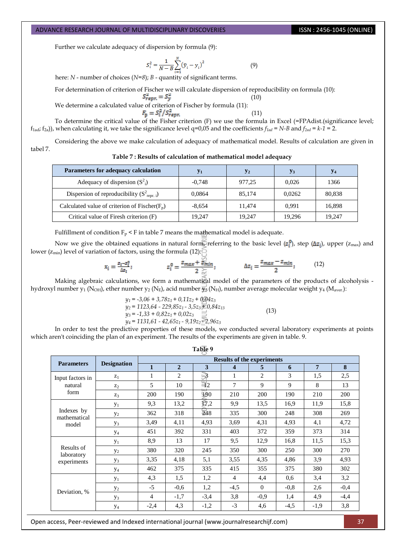Further we calculate adequacy of dispersion by formula (9):

$$
S_i^2 = \frac{1}{N - B} \sum_{i=1}^{N} (\bar{y}_i - y_i)^2
$$
 (9)

here: *N* - number of choices (*N=8*); *B* - quantity of significant terms.

For determination of criterion of Fischer we will calculate dispersion of reproducibility on formula (10):

$$
S_{\text{repr.}}^* = S_{\text{v}}^*
$$

We determine a calculated value of criterion of Fischer by formula (11):<br> $F_{\text{p}} = S_i^2 / S_{\text{repr}}^2$ 

(10)

(11)

To determine the critical value of the Fisher criterion (F) we use the formula in Excel (=FРАdist.(significance level;  $f_{1\text{ad}}$ ;  $f_{2\text{a}}$ ), when calculating it, we take the significance level  $q=0.05$  and the coefficients  $f_{1\text{ad}} = N-B$  and  $f_{2\text{ad}} = k-1 = 2$ .

Considering the above we make calculation of adequacy of mathematical model. Results of calculation are given in tabel 7.

**Table 7 : Results of calculation of mathematical model adequacy** 

| Parameters for adequacy calculation                    | $y_1$    | $\mathbf{y}_2$ | $y_3$  | У4     |
|--------------------------------------------------------|----------|----------------|--------|--------|
| Adequacy of dispersion $(S^2)$                         | $-0.748$ | 977,25         | 0.026  | 1366   |
| Dispersion of reproducibility $(S^2_{\text{repr. i}})$ | 0,0864   | 85,174         | 0.0262 | 80,838 |
| Calculated value of criterion of Fischer( $F_p$ )      | $-8.654$ | 11.474         | 0.991  | 16,898 |
| Critical value of Firesh criterion (F)                 | 19,247   | 19,247         | 19.296 | 19.247 |

Fulfillment of condition  $F_p$  < F in table 7 means the mathematical model is adequate.

Now we give the obtained equations in natural form, referring to the basic level  $(z_i^0)$ , step ( $\Delta z_i$ ), upper ( $z_{\rm max}$ ) and lower ( $z_{min}$ ) level of variation of factors, using the formula (12):

$$
x_{\bar{i}} = \frac{z_i - z_i^0}{\Delta z_i}; \qquad z_{\bar{i}}^0 = \frac{z_{max} + \frac{\sqrt{2}}{z_{min}}}{2 \frac{\sqrt{2}}{\sqrt{2}}}; \qquad \Delta z_{\bar{i}} = \frac{z_{max} - z_{min}}{2}; \qquad (12)
$$

Making algebraic calculations, we form a mathematical model of the parameters of the products of alcoholysis hydroxyl number y<sub>1</sub> (N<sub>OH</sub>), ether number y<sub>2</sub> (N<sub>E</sub>), acid number  $\overline{y}_3$  (N<sub>H</sub>), number average molecular weight y<sub>4</sub> (M<sub>aver.</sub>):

$$
y_1 = -3,06 + 3,78z_1 + 0,11z_2 + 0,04z_3
$$
  
\n
$$
y_2 = 1123,64 - 229,85z_1 - 3,5z_3 = 0,84z_{13}
$$
  
\n
$$
y_3 = -1,33 + 0,82z_1 + 0,02z_3 \ge
$$
  
\n
$$
y_4 = 1131,61 - 42,65z_1 - 9,19z_2 \ge 0,96z_3
$$
\n(13)

In order to test the predictive properties of these models, we conducted several laboratory experiments at points which aren't coinciding the plan of an experiment. The results of the experiments are given in table. 9.

**Table 9**

| <b>Results of the experiments</b> |                    |                |                |                 |                |                |        |                |        |  |  |  |
|-----------------------------------|--------------------|----------------|----------------|-----------------|----------------|----------------|--------|----------------|--------|--|--|--|
| <b>Parameters</b>                 | <b>Designation</b> |                |                |                 |                |                |        |                |        |  |  |  |
|                                   |                    | 1              | $\overline{2}$ | 3               | 4              | 5              | 6      | $\overline{7}$ | 8      |  |  |  |
| Input factors in                  | $z_1$              |                | $\overline{2}$ | ₩               |                | $\overline{c}$ | 3      | 1.5            | 2,5    |  |  |  |
| natural                           | $\mathbb{Z}_2$     | 5              | 10             | $\overline{42}$ | 7              | 9              | 9      | 8              | 13     |  |  |  |
| form                              | $Z_3$              | 200            | 190            | 490             | 210            | 200            | 190    | 210            | 200    |  |  |  |
|                                   | $y_1$              | 9,3            | 13,2           | E7,2            | 9,9            | 13.5           | 16,9   | 11,9           | 15,8   |  |  |  |
| Indexes by                        | $y_2$              | 362            | 318            | 248             | 335            | 300            | 248    | 308            | 269    |  |  |  |
| mathematical<br>model             | $y_3$              | 3,49           | 4,11           | 4,93            | 3,69           | 4,31           | 4,93   | 4,1            | 4,72   |  |  |  |
|                                   | $y_4$              | 451            | 392            | 331             | 403            | 372            | 359    | 373            | 314    |  |  |  |
|                                   | $y_1$              | 8,9            | 13             | 17              | 9,5            | 12.9           | 16,8   | 11,5           | 15,3   |  |  |  |
| Results of                        | $y_2$              | 380            | 320            | 245             | 350            | 300            | 250    | 300            | 270    |  |  |  |
| laboratory<br>experiments         | $y_3$              | 3.35           | 4,18           | 5,1             | 3,55           | 4,35           | 4,86   | 3,9            | 4,93   |  |  |  |
|                                   | $y_4$              | 462            | 375            | 335             | 415            | 355            | 375    | 380            | 302    |  |  |  |
|                                   | $y_1$              | 4,3            | 1,5            | 1,2             | $\overline{4}$ | 4,4            | 0.6    | 3,4            | 3,2    |  |  |  |
| Deviation, %                      | $y_2$              | $-5$           | $-0.6$         | 1,2             | $-4,5$         | $\Omega$       | $-0.8$ | 2,6            | $-0,4$ |  |  |  |
|                                   | $y_3$              | $\overline{4}$ | $-1,7$         | $-3,4$          | 3,8            | $-0.9$         | 1,4    | 4,9            | $-4,4$ |  |  |  |
|                                   | $y_4$              | $-2,4$         | 4,3            | $-1,2$          | $-3$           | 4,6            | $-4,5$ | $-1,9$         | 3,8    |  |  |  |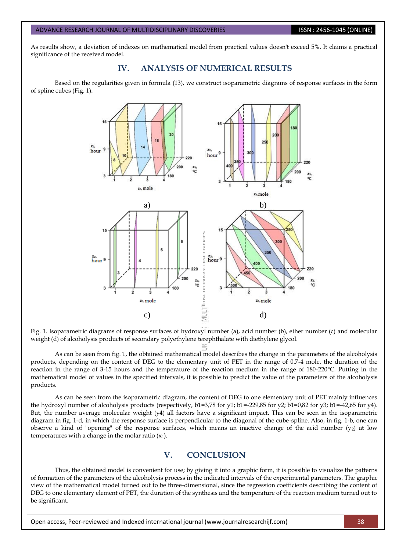As results show, a deviation of indexes on mathematical model from practical values doesn't exceed 5%. It claims a practical significance of the received model.

## **IV. ANALYSIS OF NUMERICAL RESULTS**

Based on the regularities given in formula (13), we construct isoparametric diagrams of response surfaces in the form of spline cubes (Fig. 1).



Fig. 1. Isoparametric diagrams of response surfaces of hydroxyl number (a), acid number (b), ether number (c) and molecular weight (d) of alcoholysis products of secondary polyethylene terephthalate with diethylene glycol.

As can be seen from fig. 1, the obtained mathematical model describes the change in the parameters of the alcoholysis products, depending on the content of DEG to the elementary unit of PET in the range of 0.7-4 mole, the duration of the reaction in the range of 3-15 hours and the temperature of the reaction medium in the range of 180-220°C. Putting in the mathematical model of values in the specified intervals, it is possible to predict the value of the parameters of the alcoholysis products.

As can be seen from the isoparametric diagram, the content of DEG to one elementary unit of PET mainly influences the hydroxyl number of alcoholysis products (respectively, b1=3,78 for y1; b1=-229,85 for y2; b1=0,82 for y3; b1=-42,65 for y4). But, the number average molecular weight (у4) all factors have a significant impact. This can be seen in the isoparametric diagram in fig. 1-d, in which the response surface is perpendicular to the diagonal of the cube-spline. Also, in fig. 1-b, one can observe a kind of "opening" of the response surfaces, which means an inactive change of the acid number  $(y_2)$  at low temperatures with a change in the molar ratio  $(x_1)$ .

## **V. CONCLUSION**

Thus, the obtained model is convenient for use; by giving it into a graphic form, it is possible to visualize the patterns of formation of the parameters of the alcoholysis process in the indicated intervals of the experimental parameters. The graphic view of the mathematical model turned out to be three-dimensional, since the regression coefficients describing the content of DEG to one elementary element of PET, the duration of the synthesis and the temperature of the reaction medium turned out to be significant.